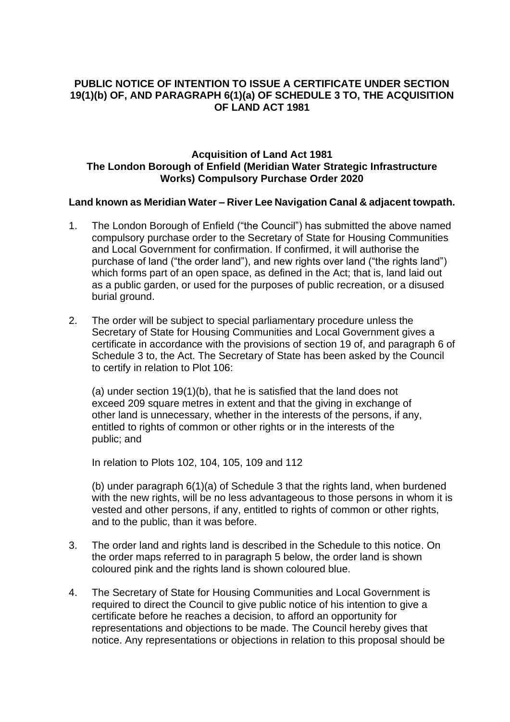# **PUBLIC NOTICE OF INTENTION TO ISSUE A CERTIFICATE UNDER SECTION 19(1)(b) OF, AND PARAGRAPH 6(1)(a) OF SCHEDULE 3 TO, THE ACQUISITION OF LAND ACT 1981**

# **Acquisition of Land Act 1981 The London Borough of Enfield (Meridian Water Strategic Infrastructure Works) Compulsory Purchase Order 2020**

### **Land known as Meridian Water – River Lee Navigation Canal & adjacent towpath.**

- 1. The London Borough of Enfield ("the Council") has submitted the above named compulsory purchase order to the Secretary of State for Housing Communities and Local Government for confirmation. If confirmed, it will authorise the purchase of land ("the order land"), and new rights over land ("the rights land") which forms part of an open space, as defined in the Act; that is, land laid out as a public garden, or used for the purposes of public recreation, or a disused burial ground.
- 2. The order will be subject to special parliamentary procedure unless the Secretary of State for Housing Communities and Local Government gives a certificate in accordance with the provisions of section 19 of, and paragraph 6 of Schedule 3 to, the Act. The Secretary of State has been asked by the Council to certify in relation to Plot 106:

(a) under section 19(1)(b), that he is satisfied that the land does not exceed 209 square metres in extent and that the giving in exchange of other land is unnecessary, whether in the interests of the persons, if any, entitled to rights of common or other rights or in the interests of the public; and

In relation to Plots 102, 104, 105, 109 and 112

(b) under paragraph 6(1)(a) of Schedule 3 that the rights land, when burdened with the new rights, will be no less advantageous to those persons in whom it is vested and other persons, if any, entitled to rights of common or other rights, and to the public, than it was before.

- 3. The order land and rights land is described in the Schedule to this notice. On the order maps referred to in paragraph 5 below, the order land is shown coloured pink and the rights land is shown coloured blue.
- 4. The Secretary of State for Housing Communities and Local Government is required to direct the Council to give public notice of his intention to give a certificate before he reaches a decision, to afford an opportunity for representations and objections to be made. The Council hereby gives that notice. Any representations or objections in relation to this proposal should be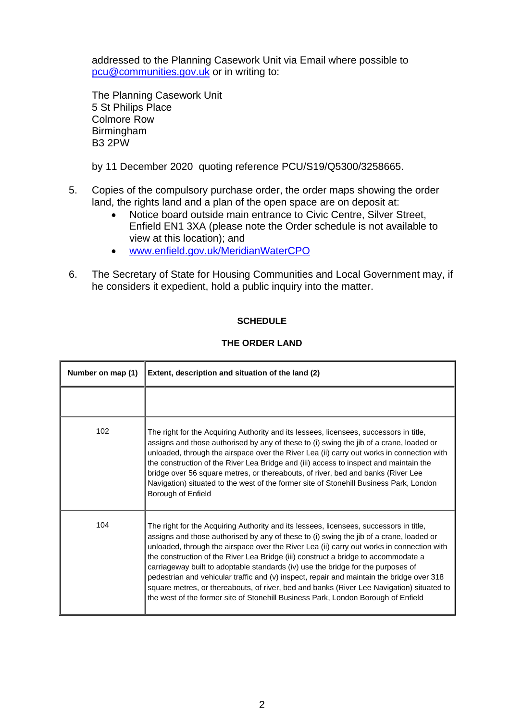addressed to the Planning Casework Unit via Email where possible to [pcu@communities.gov.uk](mailto:pcu@communities.gov.uk) or in writing to:

The Planning Casework Unit 5 St Philips Place Colmore Row **Birmingham** B3 2PW

by 11 December 2020 quoting reference PCU/S19/Q5300/3258665.

- 5. Copies of the compulsory purchase order, the order maps showing the order land, the rights land and a plan of the open space are on deposit at:
	- Notice board outside main entrance to Civic Centre, Silver Street, Enfield EN1 3XA (please note the Order schedule is not available to view at this location); and
	- [www.enfield.gov.uk/MeridianWaterCPO](http://www.enfield.gov.uk/MeridianWaterCPO)
- 6. The Secretary of State for Housing Communities and Local Government may, if he considers it expedient, hold a public inquiry into the matter.

# **SCHEDULE**

#### **THE ORDER LAND**

| Number on map (1) | Extent, description and situation of the land (2)                                                                                                                                                                                                                                                                                                                                                                                                                                                                                                                                                                                                                                                                                       |
|-------------------|-----------------------------------------------------------------------------------------------------------------------------------------------------------------------------------------------------------------------------------------------------------------------------------------------------------------------------------------------------------------------------------------------------------------------------------------------------------------------------------------------------------------------------------------------------------------------------------------------------------------------------------------------------------------------------------------------------------------------------------------|
|                   |                                                                                                                                                                                                                                                                                                                                                                                                                                                                                                                                                                                                                                                                                                                                         |
| 102               | The right for the Acquiring Authority and its lessees, licensees, successors in title,<br>assigns and those authorised by any of these to (i) swing the jib of a crane, loaded or<br>unloaded, through the airspace over the River Lea (ii) carry out works in connection with<br>the construction of the River Lea Bridge and (iii) access to inspect and maintain the<br>bridge over 56 square metres, or thereabouts, of river, bed and banks (River Lee<br>Navigation) situated to the west of the former site of Stonehill Business Park, London<br>Borough of Enfield                                                                                                                                                             |
| 104               | The right for the Acquiring Authority and its lessees, licensees, successors in title,<br>assigns and those authorised by any of these to (i) swing the jib of a crane, loaded or<br>unloaded, through the airspace over the River Lea (ii) carry out works in connection with<br>the construction of the River Lea Bridge (iii) construct a bridge to accommodate a<br>carriageway built to adoptable standards (iv) use the bridge for the purposes of<br>pedestrian and vehicular traffic and (v) inspect, repair and maintain the bridge over 318<br>square metres, or thereabouts, of river, bed and banks (River Lee Navigation) situated to<br>the west of the former site of Stonehill Business Park, London Borough of Enfield |